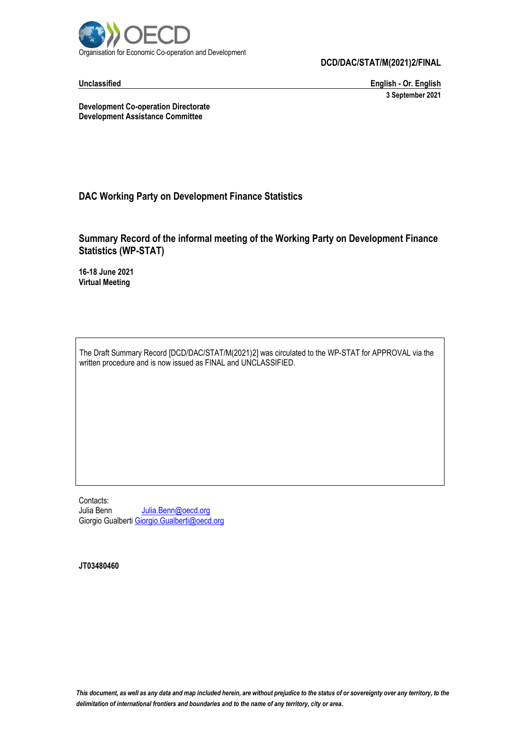

**Unclassified English - Or. English 3 September 2021**

**Development Co-operation Directorate Development Assistance Committee**

# **DAC Working Party on Development Finance Statistics**

# **Summary Record of the informal meeting of the Working Party on Development Finance Statistics (WP-STAT)**

**16-18 June 2021 Virtual Meeting**

The Draft Summary Record [DCD/DAC/STAT/M(2021)2] was circulated to the WP-STAT for APPROVAL via the written procedure and is now issued as FINAL and UNCLASSIFIED.

Contacts: Julia Benn Julia.Benn@oecd.org Giorgio Gualbert[i Giorgio.Gualberti@oecd.org](mailto:Giorgio.Gualberti@oecd.org)

**JT03480460**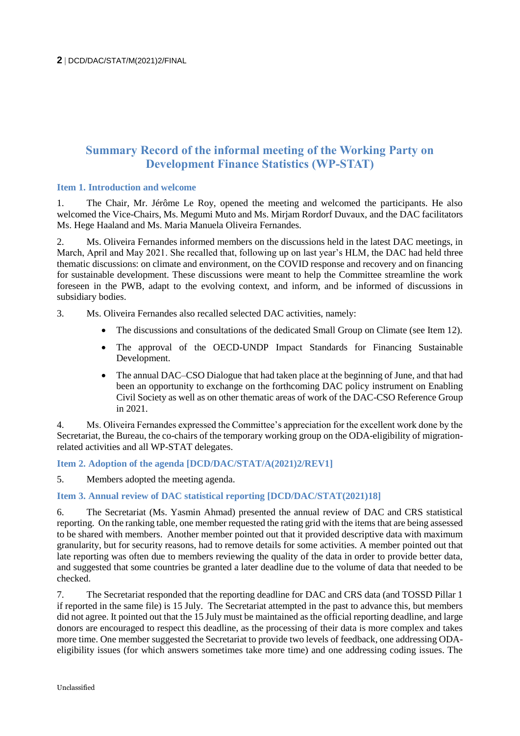# **Summary Record of the informal meeting of the Working Party on Development Finance Statistics (WP-STAT)**

### **Item 1. Introduction and welcome**

1. The Chair, Mr. Jérôme Le Roy, opened the meeting and welcomed the participants. He also welcomed the Vice-Chairs, Ms. Megumi Muto and Ms. Mirjam Rordorf Duvaux, and the DAC facilitators Ms. Hege Haaland and Ms. Maria Manuela Oliveira Fernandes.

2. Ms. Oliveira Fernandes informed members on the discussions held in the latest DAC meetings, in March, April and May 2021. She recalled that, following up on last year's HLM, the DAC had held three thematic discussions: on climate and environment, on the COVID response and recovery and on financing for sustainable development. These discussions were meant to help the Committee streamline the work foreseen in the PWB, adapt to the evolving context, and inform, and be informed of discussions in subsidiary bodies.

- 3. Ms. Oliveira Fernandes also recalled selected DAC activities, namely:
	- The discussions and consultations of the dedicated Small Group on Climate (see Item 12).
	- The approval of the OECD-UNDP Impact Standards for Financing Sustainable Development.
	- The annual DAC–CSO Dialogue that had taken place at the beginning of June, and that had been an opportunity to exchange on the forthcoming DAC policy instrument on Enabling Civil Society as well as on other thematic areas of work of the DAC-CSO Reference Group in 2021.

4. Ms. Oliveira Fernandes expressed the Committee's appreciation for the excellent work done by the Secretariat, the Bureau, the co-chairs of the temporary working group on the ODA-eligibility of migrationrelated activities and all WP-STAT delegates.

### **Item 2. Adoption of the agenda [DCD/DAC/STAT/A(2021)2/REV1]**

5. Members adopted the meeting agenda.

### **Item 3. Annual review of DAC statistical reporting [DCD/DAC/STAT(2021)18]**

6. The Secretariat (Ms. Yasmin Ahmad) presented the annual review of DAC and CRS statistical reporting. On the ranking table, one member requested the rating grid with the items that are being assessed to be shared with members. Another member pointed out that it provided descriptive data with maximum granularity, but for security reasons, had to remove details for some activities. A member pointed out that late reporting was often due to members reviewing the quality of the data in order to provide better data, and suggested that some countries be granted a later deadline due to the volume of data that needed to be checked.

7. The Secretariat responded that the reporting deadline for DAC and CRS data (and TOSSD Pillar 1 if reported in the same file) is 15 July. The Secretariat attempted in the past to advance this, but members did not agree. It pointed out that the 15 July must be maintained as the official reporting deadline, and large donors are encouraged to respect this deadline, as the processing of their data is more complex and takes more time. One member suggested the Secretariat to provide two levels of feedback, one addressing ODAeligibility issues (for which answers sometimes take more time) and one addressing coding issues. The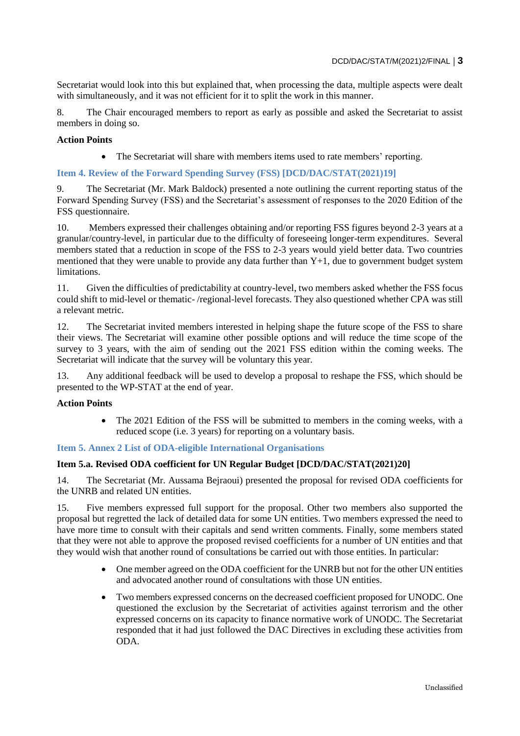Secretariat would look into this but explained that, when processing the data, multiple aspects were dealt with simultaneously, and it was not efficient for it to split the work in this manner.

8. The Chair encouraged members to report as early as possible and asked the Secretariat to assist members in doing so.

### **Action Points**

The Secretariat will share with members items used to rate members' reporting.

### **Item 4. Review of the Forward Spending Survey (FSS) [DCD/DAC/STAT(2021)19]**

9. The Secretariat (Mr. Mark Baldock) presented a note outlining the current reporting status of the Forward Spending Survey (FSS) and the Secretariat's assessment of responses to the 2020 Edition of the FSS questionnaire.

10. Members expressed their challenges obtaining and/or reporting FSS figures beyond 2-3 years at a granular/country-level, in particular due to the difficulty of foreseeing longer-term expenditures. Several members stated that a reduction in scope of the FSS to 2-3 years would yield better data. Two countries mentioned that they were unable to provide any data further than  $Y+1$ , due to government budget system limitations.

11. Given the difficulties of predictability at country-level, two members asked whether the FSS focus could shift to mid-level or thematic- /regional-level forecasts. They also questioned whether CPA was still a relevant metric.

12. The Secretariat invited members interested in helping shape the future scope of the FSS to share their views. The Secretariat will examine other possible options and will reduce the time scope of the survey to 3 years, with the aim of sending out the 2021 FSS edition within the coming weeks. The Secretariat will indicate that the survey will be voluntary this year.

13. Any additional feedback will be used to develop a proposal to reshape the FSS, which should be presented to the WP-STAT at the end of year.

### **Action Points**

 The 2021 Edition of the FSS will be submitted to members in the coming weeks, with a reduced scope (i.e. 3 years) for reporting on a voluntary basis.

### **Item 5. Annex 2 List of ODA-eligible International Organisations**

### **Item 5.a. Revised ODA coefficient for UN Regular Budget [DCD/DAC/STAT(2021)20]**

14. The Secretariat (Mr. Aussama Bejraoui) presented the proposal for revised ODA coefficients for the UNRB and related UN entities.

15. Five members expressed full support for the proposal. Other two members also supported the proposal but regretted the lack of detailed data for some UN entities. Two members expressed the need to have more time to consult with their capitals and send written comments. Finally, some members stated that they were not able to approve the proposed revised coefficients for a number of UN entities and that they would wish that another round of consultations be carried out with those entities. In particular:

- One member agreed on the ODA coefficient for the UNRB but not for the other UN entities and advocated another round of consultations with those UN entities.
- Two members expressed concerns on the decreased coefficient proposed for UNODC. One questioned the exclusion by the Secretariat of activities against terrorism and the other expressed concerns on its capacity to finance normative work of UNODC. The Secretariat responded that it had just followed the DAC Directives in excluding these activities from ODA.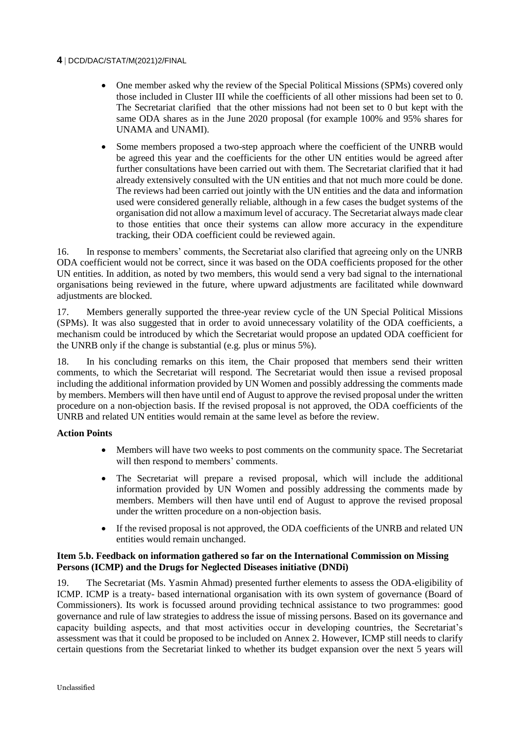- One member asked why the review of the Special Political Missions (SPMs) covered only those included in Cluster III while the coefficients of all other missions had been set to 0. The Secretariat clarified that the other missions had not been set to 0 but kept with the same ODA shares as in the June 2020 proposal (for example 100% and 95% shares for UNAMA and UNAMI).
- Some members proposed a two-step approach where the coefficient of the UNRB would be agreed this year and the coefficients for the other UN entities would be agreed after further consultations have been carried out with them. The Secretariat clarified that it had already extensively consulted with the UN entities and that not much more could be done. The reviews had been carried out jointly with the UN entities and the data and information used were considered generally reliable, although in a few cases the budget systems of the organisation did not allow a maximum level of accuracy. The Secretariat always made clear to those entities that once their systems can allow more accuracy in the expenditure tracking, their ODA coefficient could be reviewed again.

16. In response to members' comments, the Secretariat also clarified that agreeing only on the UNRB ODA coefficient would not be correct, since it was based on the ODA coefficients proposed for the other UN entities. In addition, as noted by two members, this would send a very bad signal to the international organisations being reviewed in the future, where upward adjustments are facilitated while downward adjustments are blocked.

17. Members generally supported the three-year review cycle of the UN Special Political Missions (SPMs). It was also suggested that in order to avoid unnecessary volatility of the ODA coefficients, a mechanism could be introduced by which the Secretariat would propose an updated ODA coefficient for the UNRB only if the change is substantial (e.g. plus or minus 5%).

18. In his concluding remarks on this item, the Chair proposed that members send their written comments, to which the Secretariat will respond. The Secretariat would then issue a revised proposal including the additional information provided by UN Women and possibly addressing the comments made by members. Members will then have until end of August to approve the revised proposal under the written procedure on a non-objection basis. If the revised proposal is not approved, the ODA coefficients of the UNRB and related UN entities would remain at the same level as before the review.

### **Action Points**

- Members will have two weeks to post comments on the community space. The Secretariat will then respond to members' comments.
- The Secretariat will prepare a revised proposal, which will include the additional information provided by UN Women and possibly addressing the comments made by members. Members will then have until end of August to approve the revised proposal under the written procedure on a non-objection basis.
- If the revised proposal is not approved, the ODA coefficients of the UNRB and related UN entities would remain unchanged.

### **Item 5.b. Feedback on information gathered so far on the International Commission on Missing Persons (ICMP) and the Drugs for Neglected Diseases initiative (DNDi)**

19. The Secretariat (Ms. Yasmin Ahmad) presented further elements to assess the ODA-eligibility of ICMP. ICMP is a treaty- based international organisation with its own system of governance (Board of Commissioners). Its work is focussed around providing technical assistance to two programmes: good governance and rule of law strategies to address the issue of missing persons. Based on its governance and capacity building aspects, and that most activities occur in developing countries, the Secretariat's assessment was that it could be proposed to be included on Annex 2. However, ICMP still needs to clarify certain questions from the Secretariat linked to whether its budget expansion over the next 5 years will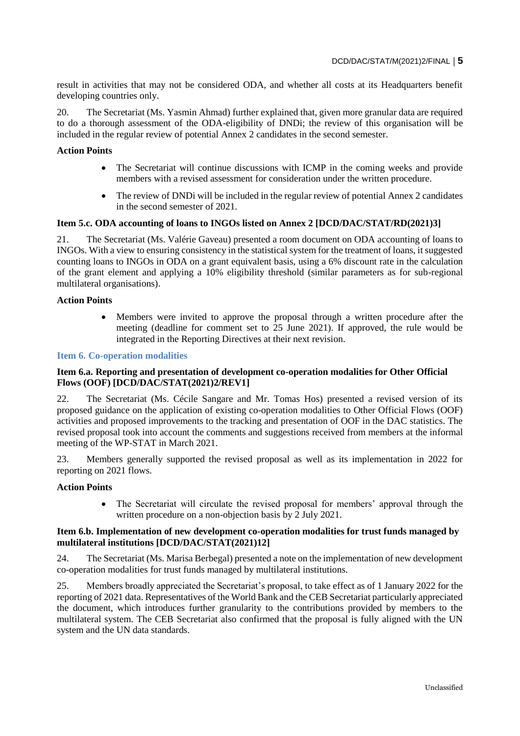result in activities that may not be considered ODA, and whether all costs at its Headquarters benefit developing countries only.

20. The Secretariat (Ms. Yasmin Ahmad) further explained that, given more granular data are required to do a thorough assessment of the ODA-eligibility of DNDi; the review of this organisation will be included in the regular review of potential Annex 2 candidates in the second semester.

### **Action Points**

- The Secretariat will continue discussions with ICMP in the coming weeks and provide members with a revised assessment for consideration under the written procedure.
- The review of DNDi will be included in the regular review of potential Annex 2 candidates in the second semester of 2021.

### **Item 5.c. ODA accounting of loans to INGOs listed on Annex 2 [DCD/DAC/STAT/RD(2021)3]**

21. The Secretariat (Ms. Valérie Gaveau) presented a room document on ODA accounting of loans to INGOs. With a view to ensuring consistency in the statistical system for the treatment of loans, it suggested counting loans to INGOs in ODA on a grant equivalent basis, using a 6% discount rate in the calculation of the grant element and applying a 10% eligibility threshold (similar parameters as for sub-regional multilateral organisations).

### **Action Points**

 Members were invited to approve the proposal through a written procedure after the meeting (deadline for comment set to 25 June 2021). If approved, the rule would be integrated in the Reporting Directives at their next revision.

### **Item 6. Co-operation modalities**

### **Item 6.a. Reporting and presentation of development co-operation modalities for Other Official Flows (OOF) [DCD/DAC/STAT(2021)2/REV1]**

22. The Secretariat (Ms. Cécile Sangare and Mr. Tomas Hos) presented a revised version of its proposed guidance on the application of existing co-operation modalities to Other Official Flows (OOF) activities and proposed improvements to the tracking and presentation of OOF in the DAC statistics. The revised proposal took into account the comments and suggestions received from members at the informal meeting of the WP-STAT in March 2021.

23. Members generally supported the revised proposal as well as its implementation in 2022 for reporting on 2021 flows.

### **Action Points**

 The Secretariat will circulate the revised proposal for members' approval through the written procedure on a non-objection basis by 2 July 2021.

### **Item 6.b. Implementation of new development co-operation modalities for trust funds managed by multilateral institutions [DCD/DAC/STAT(2021)12]**

24. The Secretariat (Ms. Marisa Berbegal) presented a note on the implementation of new development co-operation modalities for trust funds managed by multilateral institutions.

25. Members broadly appreciated the Secretariat's proposal, to take effect as of 1 January 2022 for the reporting of 2021 data. Representatives of the World Bank and the CEB Secretariat particularly appreciated the document, which introduces further granularity to the contributions provided by members to the multilateral system. The CEB Secretariat also confirmed that the proposal is fully aligned with the UN system and the UN data standards.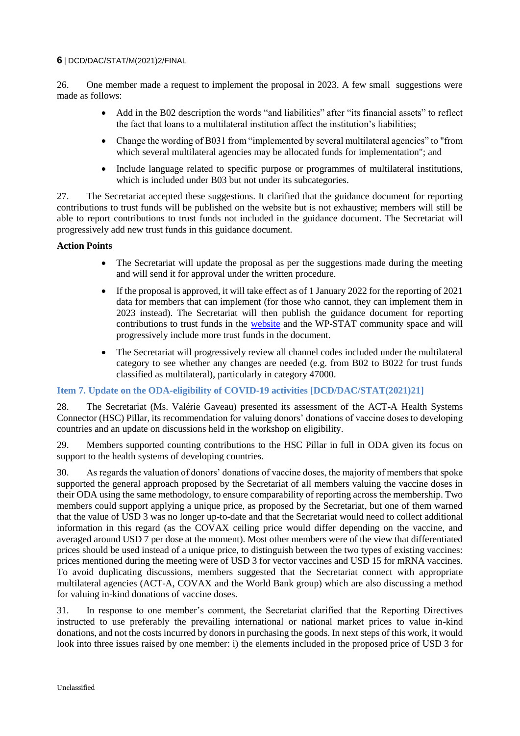26. One member made a request to implement the proposal in 2023. A few small suggestions were made as follows:

- Add in the B02 description the words "and liabilities" after "its financial assets" to reflect the fact that loans to a multilateral institution affect the institution's liabilities;
- Change the wording of B031 from "implemented by several multilateral agencies" to "from which several multilateral agencies may be allocated funds for implementation"; and
- Include language related to specific purpose or programmes of multilateral institutions, which is included under B03 but not under its subcategories.

27. The Secretariat accepted these suggestions. It clarified that the guidance document for reporting contributions to trust funds will be published on the website but is not exhaustive; members will still be able to report contributions to trust funds not included in the guidance document. The Secretariat will progressively add new trust funds in this guidance document.

### **Action Points**

- The Secretariat will update the proposal as per the suggestions made during the meeting and will send it for approval under the written procedure.
- If the proposal is approved, it will take effect as of 1 January 2022 for the reporting of 2021 data for members that can implement (for those who cannot, they can implement them in 2023 instead). The Secretariat will then publish the guidance document for reporting contributions to trust funds in the [website](https://www.oecd.org/dac/financing-sustainable-development/development-finance-standards/) and the WP-STAT community space and will progressively include more trust funds in the document.
- The Secretariat will progressively review all channel codes included under the multilateral category to see whether any changes are needed (e.g. from B02 to B022 for trust funds classified as multilateral), particularly in category 47000.

### **Item 7. Update on the ODA-eligibility of COVID-19 activities [DCD/DAC/STAT(2021)21]**

28. The Secretariat (Ms. Valérie Gaveau) presented its assessment of the ACT-A Health Systems Connector (HSC) Pillar, its recommendation for valuing donors' donations of vaccine doses to developing countries and an update on discussions held in the workshop on eligibility.

29. Members supported counting contributions to the HSC Pillar in full in ODA given its focus on support to the health systems of developing countries.

30. As regards the valuation of donors' donations of vaccine doses, the majority of members that spoke supported the general approach proposed by the Secretariat of all members valuing the vaccine doses in their ODA using the same methodology, to ensure comparability of reporting across the membership. Two members could support applying a unique price, as proposed by the Secretariat, but one of them warned that the value of USD 3 was no longer up-to-date and that the Secretariat would need to collect additional information in this regard (as the COVAX ceiling price would differ depending on the vaccine, and averaged around USD 7 per dose at the moment). Most other members were of the view that differentiated prices should be used instead of a unique price, to distinguish between the two types of existing vaccines: prices mentioned during the meeting were of USD 3 for vector vaccines and USD 15 for mRNA vaccines. To avoid duplicating discussions, members suggested that the Secretariat connect with appropriate multilateral agencies (ACT-A, COVAX and the World Bank group) which are also discussing a method for valuing in-kind donations of vaccine doses.

31. In response to one member's comment, the Secretariat clarified that the Reporting Directives instructed to use preferably the prevailing international or national market prices to value in-kind donations, and not the costs incurred by donors in purchasing the goods. In next steps of this work, it would look into three issues raised by one member: i) the elements included in the proposed price of USD 3 for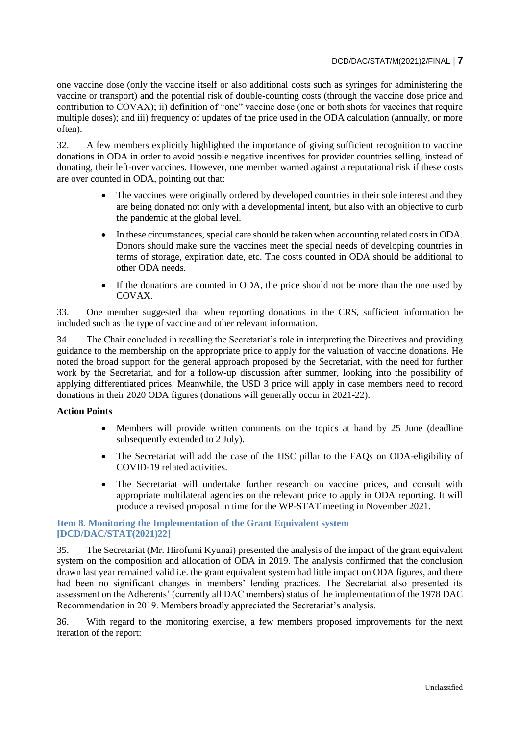one vaccine dose (only the vaccine itself or also additional costs such as syringes for administering the vaccine or transport) and the potential risk of double-counting costs (through the vaccine dose price and contribution to COVAX); ii) definition of "one" vaccine dose (one or both shots for vaccines that require multiple doses); and iii) frequency of updates of the price used in the ODA calculation (annually, or more often).

32. A few members explicitly highlighted the importance of giving sufficient recognition to vaccine donations in ODA in order to avoid possible negative incentives for provider countries selling, instead of donating, their left-over vaccines. However, one member warned against a reputational risk if these costs are over counted in ODA, pointing out that:

- The vaccines were originally ordered by developed countries in their sole interest and they are being donated not only with a developmental intent, but also with an objective to curb the pandemic at the global level.
- In these circumstances, special care should be taken when accounting related costs in ODA. Donors should make sure the vaccines meet the special needs of developing countries in terms of storage, expiration date, etc. The costs counted in ODA should be additional to other ODA needs.
- If the donations are counted in ODA, the price should not be more than the one used by COVAX.

33. One member suggested that when reporting donations in the CRS, sufficient information be included such as the type of vaccine and other relevant information.

34. The Chair concluded in recalling the Secretariat's role in interpreting the Directives and providing guidance to the membership on the appropriate price to apply for the valuation of vaccine donations. He noted the broad support for the general approach proposed by the Secretariat, with the need for further work by the Secretariat, and for a follow-up discussion after summer, looking into the possibility of applying differentiated prices. Meanwhile, the USD 3 price will apply in case members need to record donations in their 2020 ODA figures (donations will generally occur in 2021-22).

### **Action Points**

- Members will provide written comments on the topics at hand by 25 June (deadline subsequently extended to 2 July).
- The Secretariat will add the case of the HSC pillar to the FAQs on ODA-eligibility of COVID-19 related activities.
- The Secretariat will undertake further research on vaccine prices, and consult with appropriate multilateral agencies on the relevant price to apply in ODA reporting. It will produce a revised proposal in time for the WP-STAT meeting in November 2021.

### **Item 8. Monitoring the Implementation of the Grant Equivalent system [DCD/DAC/STAT(2021)22]**

35. The Secretariat (Mr. Hirofumi Kyunai) presented the analysis of the impact of the grant equivalent system on the composition and allocation of ODA in 2019. The analysis confirmed that the conclusion drawn last year remained valid i.e. the grant equivalent system had little impact on ODA figures, and there had been no significant changes in members' lending practices. The Secretariat also presented its assessment on the Adherents' (currently all DAC members) status of the implementation of the 1978 DAC Recommendation in 2019. Members broadly appreciated the Secretariat's analysis.

36. With regard to the monitoring exercise, a few members proposed improvements for the next iteration of the report: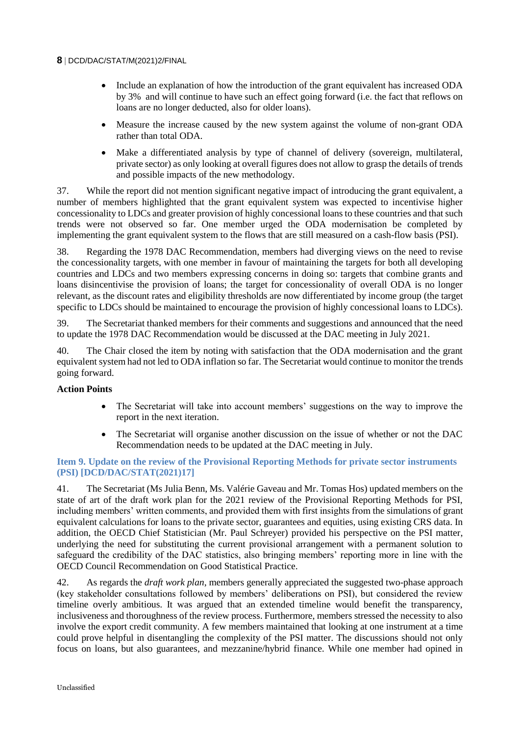- Include an explanation of how the introduction of the grant equivalent has increased ODA by 3% and will continue to have such an effect going forward (i.e. the fact that reflows on loans are no longer deducted, also for older loans).
- Measure the increase caused by the new system against the volume of non-grant ODA rather than total ODA.
- Make a differentiated analysis by type of channel of delivery (sovereign, multilateral, private sector) as only looking at overall figures does not allow to grasp the details of trends and possible impacts of the new methodology.

37. While the report did not mention significant negative impact of introducing the grant equivalent, a number of members highlighted that the grant equivalent system was expected to incentivise higher concessionality to LDCs and greater provision of highly concessional loans to these countries and that such trends were not observed so far. One member urged the ODA modernisation be completed by implementing the grant equivalent system to the flows that are still measured on a cash-flow basis (PSI).

38. Regarding the 1978 DAC Recommendation, members had diverging views on the need to revise the concessionality targets, with one member in favour of maintaining the targets for both all developing countries and LDCs and two members expressing concerns in doing so: targets that combine grants and loans disincentivise the provision of loans; the target for concessionality of overall ODA is no longer relevant, as the discount rates and eligibility thresholds are now differentiated by income group (the target specific to LDCs should be maintained to encourage the provision of highly concessional loans to LDCs).

39. The Secretariat thanked members for their comments and suggestions and announced that the need to update the 1978 DAC Recommendation would be discussed at the DAC meeting in July 2021.

40. The Chair closed the item by noting with satisfaction that the ODA modernisation and the grant equivalent system had not led to ODA inflation so far. The Secretariat would continue to monitor the trends going forward.

## **Action Points**

- The Secretariat will take into account members' suggestions on the way to improve the report in the next iteration.
- The Secretariat will organise another discussion on the issue of whether or not the DAC Recommendation needs to be updated at the DAC meeting in July.

### **Item 9. Update on the review of the Provisional Reporting Methods for private sector instruments (PSI) [DCD/DAC/STAT(2021)17]**

41. The Secretariat (Ms Julia Benn, Ms. Valérie Gaveau and Mr. Tomas Hos) updated members on the state of art of the draft work plan for the 2021 review of the Provisional Reporting Methods for PSI, including members' written comments, and provided them with first insights from the simulations of grant equivalent calculations for loans to the private sector, guarantees and equities, using existing CRS data. In addition, the OECD Chief Statistician (Mr. Paul Schreyer) provided his perspective on the PSI matter, underlying the need for substituting the current provisional arrangement with a permanent solution to safeguard the credibility of the DAC statistics, also bringing members' reporting more in line with the OECD Council Recommendation on Good Statistical Practice.

42. As regards the *draft work plan*, members generally appreciated the suggested two-phase approach (key stakeholder consultations followed by members' deliberations on PSI), but considered the review timeline overly ambitious. It was argued that an extended timeline would benefit the transparency, inclusiveness and thoroughness of the review process. Furthermore, members stressed the necessity to also involve the export credit community. A few members maintained that looking at one instrument at a time could prove helpful in disentangling the complexity of the PSI matter. The discussions should not only focus on loans, but also guarantees, and mezzanine/hybrid finance. While one member had opined in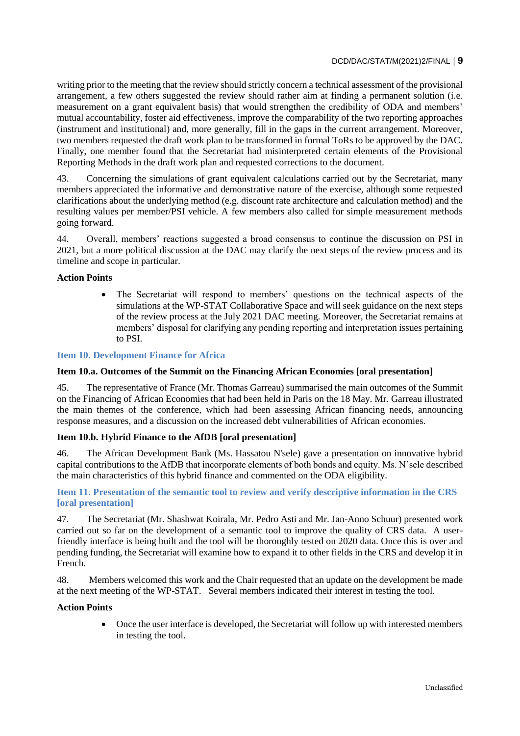writing prior to the meeting that the review should strictly concern a technical assessment of the provisional arrangement, a few others suggested the review should rather aim at finding a permanent solution (i.e. measurement on a grant equivalent basis) that would strengthen the credibility of ODA and members' mutual accountability, foster aid effectiveness, improve the comparability of the two reporting approaches (instrument and institutional) and, more generally, fill in the gaps in the current arrangement. Moreover, two members requested the draft work plan to be transformed in formal ToRs to be approved by the DAC. Finally, one member found that the Secretariat had misinterpreted certain elements of the Provisional Reporting Methods in the draft work plan and requested corrections to the document.

43. Concerning the simulations of grant equivalent calculations carried out by the Secretariat, many members appreciated the informative and demonstrative nature of the exercise, although some requested clarifications about the underlying method (e.g. discount rate architecture and calculation method) and the resulting values per member/PSI vehicle. A few members also called for simple measurement methods going forward.

44. Overall, members' reactions suggested a broad consensus to continue the discussion on PSI in 2021, but a more political discussion at the DAC may clarify the next steps of the review process and its timeline and scope in particular.

### **Action Points**

 The Secretariat will respond to members' questions on the technical aspects of the simulations at the WP-STAT Collaborative Space and will seek guidance on the next steps of the review process at the July 2021 DAC meeting. Moreover, the Secretariat remains at members' disposal for clarifying any pending reporting and interpretation issues pertaining to PSI.

### **Item 10. Development Finance for Africa**

### **Item 10.a. Outcomes of the Summit on the Financing African Economies [oral presentation]**

45. The representative of France (Mr. Thomas Garreau) summarised the main outcomes of the Summit on the Financing of African Economies that had been held in Paris on the 18 May. Mr. Garreau illustrated the main themes of the conference, which had been assessing African financing needs, announcing response measures, and a discussion on the increased debt vulnerabilities of African economies.

### **Item 10.b. Hybrid Finance to the AfDB [oral presentation]**

46. The African Development Bank (Ms. Hassatou N'sele) gave a presentation on innovative hybrid capital contributions to the AfDB that incorporate elements of both bonds and equity. Ms. N'sele described the main characteristics of this hybrid finance and commented on the ODA eligibility.

### **Item 11. Presentation of the semantic tool to review and verify descriptive information in the CRS [oral presentation]**

47. The Secretariat (Mr. Shashwat Koirala, Mr. Pedro Asti and Mr. Jan-Anno Schuur) presented work carried out so far on the development of a semantic tool to improve the quality of CRS data. A userfriendly interface is being built and the tool will be thoroughly tested on 2020 data. Once this is over and pending funding, the Secretariat will examine how to expand it to other fields in the CRS and develop it in French.

48. Members welcomed this work and the Chair requested that an update on the development be made at the next meeting of the WP-STAT. Several members indicated their interest in testing the tool.

### **Action Points**

 Once the user interface is developed, the Secretariat will follow up with interested members in testing the tool.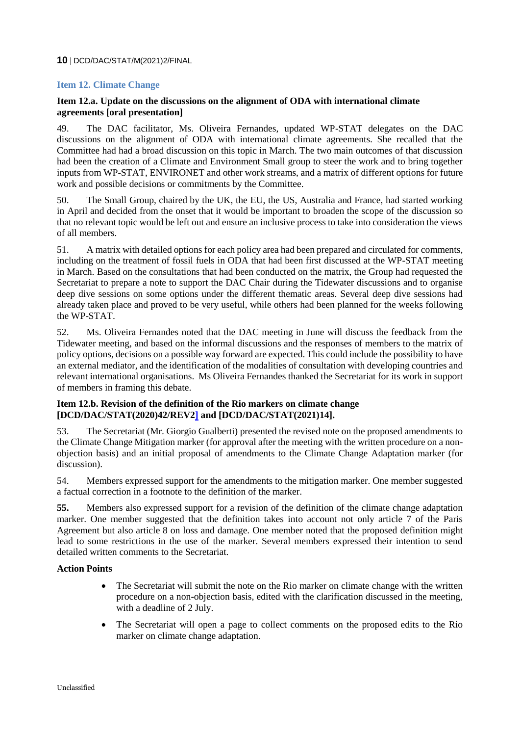### **Item 12. Climate Change**

### **Item 12.a. Update on the discussions on the alignment of ODA with international climate agreements [oral presentation]**

49. The DAC facilitator, Ms. Oliveira Fernandes, updated WP-STAT delegates on the DAC discussions on the alignment of ODA with international climate agreements. She recalled that the Committee had had a broad discussion on this topic in March. The two main outcomes of that discussion had been the creation of a Climate and Environment Small group to steer the work and to bring together inputs from WP-STAT, ENVIRONET and other work streams, and a matrix of different options for future work and possible decisions or commitments by the Committee.

50. The Small Group, chaired by the UK, the EU, the US, Australia and France, had started working in April and decided from the onset that it would be important to broaden the scope of the discussion so that no relevant topic would be left out and ensure an inclusive process to take into consideration the views of all members.

51. A matrix with detailed options for each policy area had been prepared and circulated for comments, including on the treatment of fossil fuels in ODA that had been first discussed at the WP-STAT meeting in March. Based on the consultations that had been conducted on the matrix, the Group had requested the Secretariat to prepare a note to support the DAC Chair during the Tidewater discussions and to organise deep dive sessions on some options under the different thematic areas. Several deep dive sessions had already taken place and proved to be very useful, while others had been planned for the weeks following the WP-STAT.

52. Ms. Oliveira Fernandes noted that the DAC meeting in June will discuss the feedback from the Tidewater meeting, and based on the informal discussions and the responses of members to the matrix of policy options, decisions on a possible way forward are expected. This could include the possibility to have an external mediator, and the identification of the modalities of consultation with developing countries and relevant international organisations. Ms Oliveira Fernandes thanked the Secretariat for its work in support of members in framing this debate.

### **Item 12.b. Revision of the definition of the Rio markers on climate change [DCD/DAC/STAT(2020)42/REV2] and [DCD/DAC/STAT(2021)14].**

53. The Secretariat (Mr. Giorgio Gualberti) presented the revised note on the proposed amendments to the Climate Change Mitigation marker (for approval after the meeting with the written procedure on a nonobjection basis) and an initial proposal of amendments to the Climate Change Adaptation marker (for discussion).

54. Members expressed support for the amendments to the mitigation marker. One member suggested a factual correction in a footnote to the definition of the marker.

**55.** Members also expressed support for a revision of the definition of the climate change adaptation marker. One member suggested that the definition takes into account not only article 7 of the Paris Agreement but also article 8 on loss and damage. One member noted that the proposed definition might lead to some restrictions in the use of the marker. Several members expressed their intention to send detailed written comments to the Secretariat.

### **Action Points**

- The Secretariat will submit the note on the Rio marker on climate change with the written procedure on a non-objection basis, edited with the clarification discussed in the meeting, with a deadline of 2 July.
- The Secretariat will open a page to collect comments on the proposed edits to the Rio marker on climate change adaptation.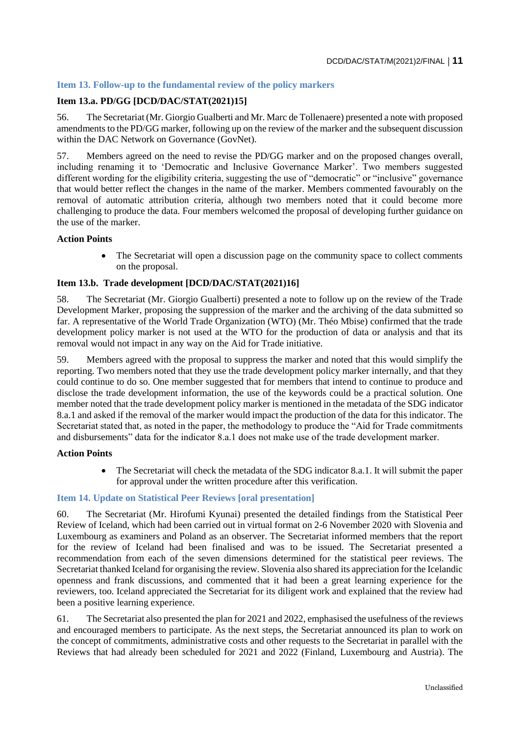## **Item 13. Follow-up to the fundamental review of the policy markers**

### **Item 13.a. PD/GG [DCD/DAC/STAT(2021)15]**

56. The Secretariat (Mr. Giorgio Gualberti and Mr. Marc de Tollenaere) presented a note with proposed amendments to the PD/GG marker, following up on the review of the marker and the subsequent discussion within the DAC Network on Governance (GovNet).

57. Members agreed on the need to revise the PD/GG marker and on the proposed changes overall, including renaming it to 'Democratic and Inclusive Governance Marker'. Two members suggested different wording for the eligibility criteria, suggesting the use of "democratic" or "inclusive" governance that would better reflect the changes in the name of the marker. Members commented favourably on the removal of automatic attribution criteria, although two members noted that it could become more challenging to produce the data. Four members welcomed the proposal of developing further guidance on the use of the marker.

#### **Action Points**

• The Secretariat will open a discussion page on the community space to collect comments on the proposal.

#### **Item 13.b. Trade development [DCD/DAC/STAT(2021)16]**

58. The Secretariat (Mr. Giorgio Gualberti) presented a note to follow up on the review of the Trade Development Marker, proposing the suppression of the marker and the archiving of the data submitted so far. A representative of the World Trade Organization (WTO) (Mr. Théo Mbise) confirmed that the trade development policy marker is not used at the WTO for the production of data or analysis and that its removal would not impact in any way on the Aid for Trade initiative.

59. Members agreed with the proposal to suppress the marker and noted that this would simplify the reporting. Two members noted that they use the trade development policy marker internally, and that they could continue to do so. One member suggested that for members that intend to continue to produce and disclose the trade development information, the use of the keywords could be a practical solution. One member noted that the trade development policy marker is mentioned in the metadata of the SDG indicator 8.a.1 and asked if the removal of the marker would impact the production of the data for this indicator. The Secretariat stated that, as noted in the paper, the methodology to produce the "Aid for Trade commitments and disbursements" data for the indicator 8.a.1 does not make use of the trade development marker.

#### **Action Points**

 The Secretariat will check the metadata of the SDG indicator 8.a.1. It will submit the paper for approval under the written procedure after this verification.

### **Item 14. Update on Statistical Peer Reviews [oral presentation]**

60. The Secretariat (Mr. Hirofumi Kyunai) presented the detailed findings from the Statistical Peer Review of Iceland, which had been carried out in virtual format on 2-6 November 2020 with Slovenia and Luxembourg as examiners and Poland as an observer. The Secretariat informed members that the report for the review of Iceland had been finalised and was to be issued. The Secretariat presented a recommendation from each of the seven dimensions determined for the statistical peer reviews. The Secretariat thanked Iceland for organising the review. Slovenia also shared its appreciation for the Icelandic openness and frank discussions, and commented that it had been a great learning experience for the reviewers, too. Iceland appreciated the Secretariat for its diligent work and explained that the review had been a positive learning experience.

61. The Secretariat also presented the plan for 2021 and 2022, emphasised the usefulness of the reviews and encouraged members to participate. As the next steps, the Secretariat announced its plan to work on the concept of commitments, administrative costs and other requests to the Secretariat in parallel with the Reviews that had already been scheduled for 2021 and 2022 (Finland, Luxembourg and Austria). The